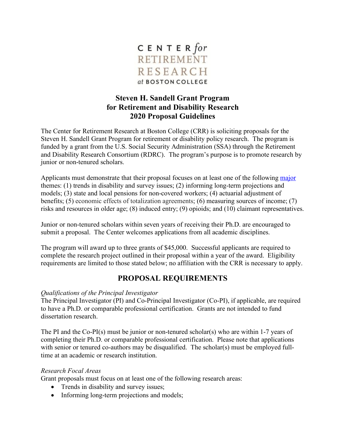

## **Steven H. Sandell Grant Program for Retirement and Disability Research 2020 Proposal Guidelines**

The Center for Retirement Research at Boston College (CRR) is soliciting proposals for the Steven H. Sandell Grant Program for retirement or disability policy research. The program is funded by a grant from the U.S. Social Security Administration (SSA) through the Retirement and Disability Research Consortium (RDRC). The program's purpose is to promote research by junior or non-tenured scholars.

Applicants must demonstrate that their proposal focuses on at least one of the following [major](https://crr.bc.edu/wp-content/uploads/2019/09/RDRC-Focal-Areas-for-FY2020-2.pdf) themes: (1) trends in disability and survey issues; (2) informing long-term projections and models; (3) state and local pensions for non-covered workers; (4) actuarial adjustment of benefits; (5) economic effects of totalization agreements; (6) measuring sources of income; (7) risks and resources in older age; (8) induced entry; (9) opioids; and (10) claimant representatives.

Junior or non-tenured scholars within seven years of receiving their Ph.D. are encouraged to submit a proposal. The Center welcomes applications from all academic disciplines.

The program will award up to three grants of \$45,000. Successful applicants are required to complete the research project outlined in their proposal within a year of the award. Eligibility requirements are limited to those stated below; no affiliation with the CRR is necessary to apply.

# **PROPOSAL REQUIREMENTS**

### *Qualifications of the Principal Investigator*

The Principal Investigator (PI) and Co-Principal Investigator (Co-PI), if applicable, are required to have a Ph.D. or comparable professional certification. Grants are not intended to fund dissertation research.

The PI and the Co-PI(s) must be junior or non-tenured scholar(s) who are within 1-7 years of completing their Ph.D. or comparable professional certification. Please note that applications with senior or tenured co-authors may be disqualified. The scholar(s) must be employed fulltime at an academic or research institution.

### *Research Focal Areas*

Grant proposals must focus on at least one of the following research areas:

- Trends in disability and survey issues;
- Informing long-term projections and models;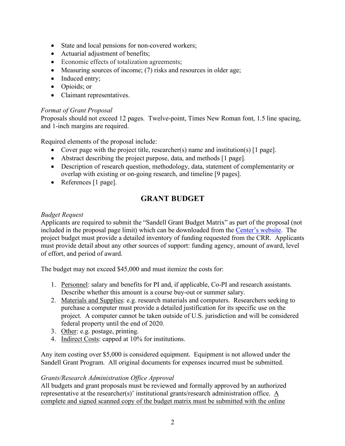- State and local pensions for non-covered workers;
- Actuarial adjustment of benefits;
- Economic effects of totalization agreements;
- Measuring sources of income; (7) risks and resources in older age;
- Induced entry:
- Opioids; or
- Claimant representatives.

#### *Format of Grant Proposal*

Proposals should not exceed 12 pages. Twelve-point, Times New Roman font, 1.5 line spacing, and 1-inch margins are required.

Required elements of the proposal include:

- Cover page with the project title, researcher(s) name and institution(s) [1 page].
- Abstract describing the project purpose, data, and methods [1 page].
- Description of research question, methodology, data, statement of complementarity or overlap with existing or on-going research, and timeline [9 pages].
- References [1 page].

# **GRANT BUDGET**

### *Budget Request*

Applicants are required to submit the "Sandell Grant Budget Matrix" as part of the proposal (not included in the proposal page limit) which can be downloaded from the [Center's website.](https://crr.bc.edu/) The project budget must provide a detailed inventory of funding requested from the CRR. Applicants must provide detail about any other sources of support: funding agency, amount of award, level of effort, and period of award.

The budget may not exceed \$45,000 and must itemize the costs for:

- 1. Personnel: salary and benefits for PI and, if applicable, Co-PI and research assistants. Describe whether this amount is a course buy-out or summer salary.
- 2. Materials and Supplies: e.g. research materials and computers. Researchers seeking to purchase a computer must provide a detailed justification for its specific use on the project. A computer cannot be taken outside of U.S. jurisdiction and will be considered federal property until the end of 2020.
- 3. Other: e.g. postage, printing.
- 4. Indirect Costs: capped at 10% for institutions.

Any item costing over \$5,000 is considered equipment. Equipment is not allowed under the Sandell Grant Program. All original documents for expenses incurred must be submitted.

### *Grants/Research Administration Office Approval*

All budgets and grant proposals must be reviewed and formally approved by an authorized representative at the researcher(s)' institutional grants/research administration office. A complete and signed scanned copy of the budget matrix must be submitted with the online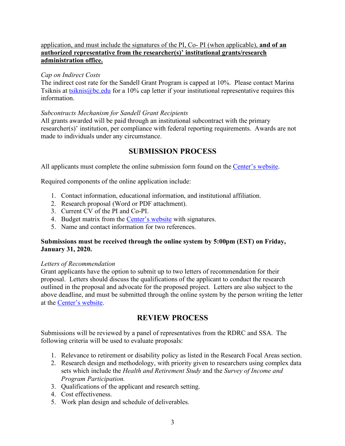### application, and must include the signatures of the PI, Co- PI (when applicable), **and of an authorized representative from the researcher(s)' institutional grants/research administration office.**

#### *Cap on Indirect Costs*

The indirect cost rate for the Sandell Grant Program is capped at 10%. Please contact Marina Tsiknis at [tsiknis@bc.edu](mailto:tsiknis@bc.edu) for a 10% cap letter if your institutional representative requires this information.

### *Subcontracts Mechanism for Sandell Grant Recipients*

All grants awarded will be paid through an institutional subcontract with the primary researcher(s)' institution, per compliance with federal reporting requirements. Awards are not made to individuals under any circumstance.

## **SUBMISSION PROCESS**

All applicants must complete the online submission form found on the [Center's](https://crr.bc.edu) website.

Required components of the online application include:

- 1. Contact information, educational information, and institutional affiliation.
- 2. Research proposal (Word or PDF attachment).
- 3. Current CV of the PI and Co-PI.
- 4. Budget matrix from the [Center's website](https://crr.bc.edu/) with signatures.
- 5. Name and contact information for two references.

#### **Submissions must be received through the online system by 5:00pm (EST) on Friday, January 31, 2020.**

#### *Letters of Recommendation*

Grant applicants have the option to submit up to two letters of recommendation for their proposal. Letters should discuss the qualifications of the applicant to conduct the research outlined in the proposal and advocate for the proposed project. Letters are also subject to the above deadline, and must be submitted through the online system by the person writing the letter at the [Center's website.](https://crr.bc.edu/)

## **REVIEW PROCESS**

Submissions will be reviewed by a panel of representatives from the RDRC and SSA. The following criteria will be used to evaluate proposals:

- 1. Relevance to retirement or disability policy as listed in the Research Focal Areas section.
- 2. Research design and methodology, with priority given to researchers using complex data sets which include the *Health and Retirement Study* and the *Survey of Income and Program Participation.*
- 3. Qualifications of the applicant and research setting.
- 4. Cost effectiveness.
- 5. Work plan design and schedule of deliverables.